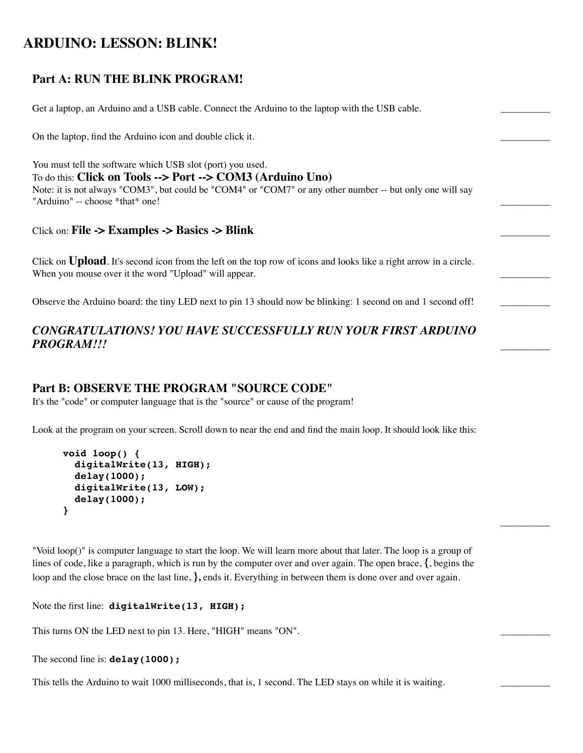# **ARDUINO: LESSON: BLINK!**

## **Part A: RUN THE BLINK PROGRAM!**

Get a laptop, an Arduino and a USB cable. Connect the Arduino to the laptop with the USB cable.

On the laptop, find the Arduino icon and double click it.

You must tell the software which USB slot (port) you used. To do this: **Click on Tools --> Port --> COM3 (Arduino Uno)** Note: it is not always "COM3", but could be "COM4" or "COM7" or any other number -- but only one will say "Arduino" -- choose \*that\* one!

Click on: **File -> Examples -> Basics -> Blink** \_\_\_\_\_\_\_\_\_\_

Click on **Upload**. It's second icon from the left on the top row of icons and looks like a right arrow in a circle. When you mouse over it the word "Upload" will appear.

Observe the Arduino board: the tiny LED next to pin 13 should now be blinking: 1 second on and 1 second off!

### *CONGRATULATIONS! YOU HAVE SUCCESSFULLY RUN YOUR FIRST ARDUINO* PROGRAM!!!

#### **Part B: OBSERVE THE PROGRAM "SOURCE CODE"**

It's the "code" or computer language that is the "source" or cause of the program!

Look at the program on your screen. Scroll down to near the end and find the main loop. It should look like this:

```
void loop() {
   digitalWrite(13, HIGH);
   delay(1000);
   digitalWrite(13, LOW);
   delay(1000);
}
```
"Void loop()" is computer language to start the loop. We will learn more about that later. The loop is a group of lines of code, like a paragraph, which is run by the computer over and over again. The open brace, **{**, begins the loop and the close brace on the last line, **},** ends it. Everything in between them is done over and over again.

 $\overline{\phantom{a}}$ 

Note the first line: **digitalWrite(13, HIGH);** 

This turns ON the LED next to pin 13. Here, "HIGH" means "ON".

```
The second line is: delay(1000);
```
This tells the Arduino to wait 1000 milliseconds, that is, 1 second. The LED stays on while it is waiting.